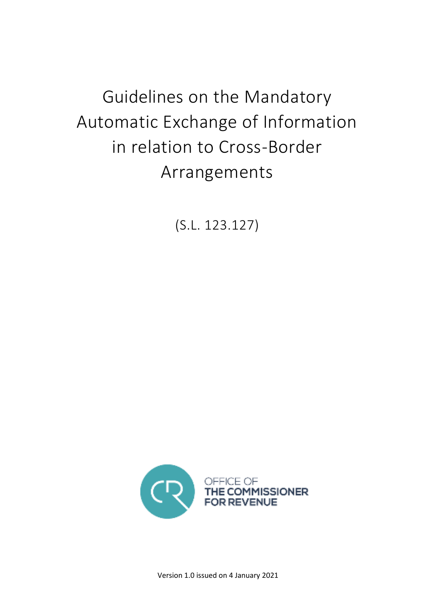Guidelines on the Mandatory Automatic Exchange of Information in relation to Cross-Border Arrangements

(S.L. 123.127)



Version 1.0 issued on 4 January 2021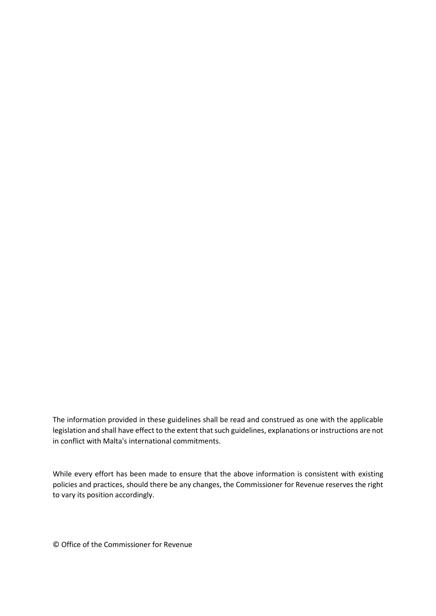The information provided in these guidelines shall be read and construed as one with the applicable legislation and shall have effect to the extent that such guidelines, explanations or instructions are not in conflict with Malta's international commitments.

While every effort has been made to ensure that the above information is consistent with existing policies and practices, should there be any changes, the Commissioner for Revenue reserves the right to vary its position accordingly.

© Office of the Commissioner for Revenue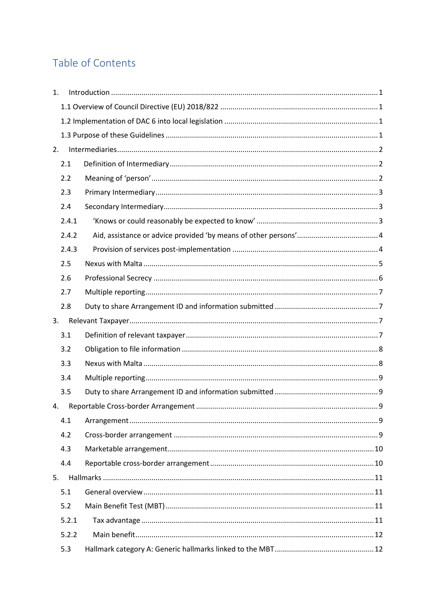# Table of Contents

| 1. |       |  |
|----|-------|--|
|    |       |  |
|    |       |  |
|    |       |  |
| 2. |       |  |
|    | 2.1   |  |
|    | 2.2   |  |
|    | 2.3   |  |
|    | 2.4   |  |
|    | 2.4.1 |  |
|    | 2.4.2 |  |
|    | 2.4.3 |  |
|    | 2.5   |  |
|    | 2.6   |  |
|    | 2.7   |  |
|    | 2.8   |  |
| 3. |       |  |
|    | 3.1   |  |
|    | 3.2   |  |
|    | 3.3   |  |
|    | 3.4   |  |
|    | 3.5   |  |
| 4. |       |  |
|    | 4.1   |  |
|    | 4.2   |  |
|    | 4.3   |  |
|    | 4.4   |  |
| 5. |       |  |
|    | 5.1   |  |
|    | 5.2   |  |
|    | 5.2.1 |  |
|    | 5.2.2 |  |
|    | 5.3   |  |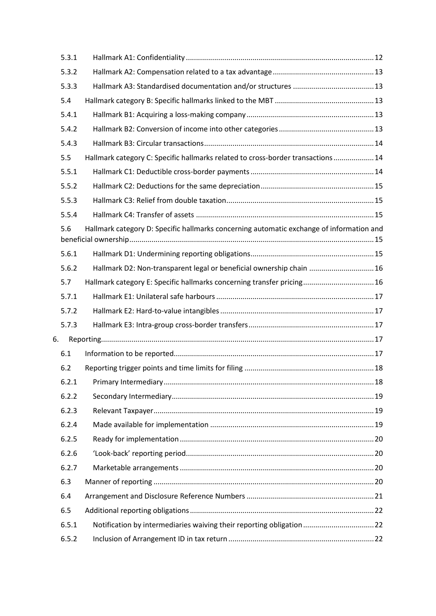|    | 5.3.1 |                                                                                          |
|----|-------|------------------------------------------------------------------------------------------|
|    | 5.3.2 |                                                                                          |
|    | 5.3.3 |                                                                                          |
|    | 5.4   |                                                                                          |
|    | 5.4.1 |                                                                                          |
|    | 5.4.2 |                                                                                          |
|    | 5.4.3 |                                                                                          |
|    | 5.5   | Hallmark category C: Specific hallmarks related to cross-border transactions  14         |
|    | 5.5.1 |                                                                                          |
|    | 5.5.2 |                                                                                          |
|    | 5.5.3 |                                                                                          |
|    | 5.5.4 |                                                                                          |
|    | 5.6   | Hallmark category D: Specific hallmarks concerning automatic exchange of information and |
|    | 5.6.1 |                                                                                          |
|    | 5.6.2 | Hallmark D2: Non-transparent legal or beneficial ownership chain  16                     |
|    | 5.7   | Hallmark category E: Specific hallmarks concerning transfer pricing 16                   |
|    | 5.7.1 |                                                                                          |
|    | 5.7.2 |                                                                                          |
|    | 5.7.3 |                                                                                          |
| 6. |       |                                                                                          |
|    | 6.1   |                                                                                          |
|    | 6.2   |                                                                                          |
|    | 6.2.1 |                                                                                          |
|    | 6.2.2 |                                                                                          |
|    | 6.2.3 |                                                                                          |
|    | 6.2.4 |                                                                                          |
|    | 6.2.5 |                                                                                          |
|    | 6.2.6 |                                                                                          |
|    | 6.2.7 |                                                                                          |
|    | 6.3   |                                                                                          |
|    | 6.4   |                                                                                          |
|    | 6.5   |                                                                                          |
|    | 6.5.1 | Notification by intermediaries waiving their reporting obligation 22                     |
|    | 6.5.2 |                                                                                          |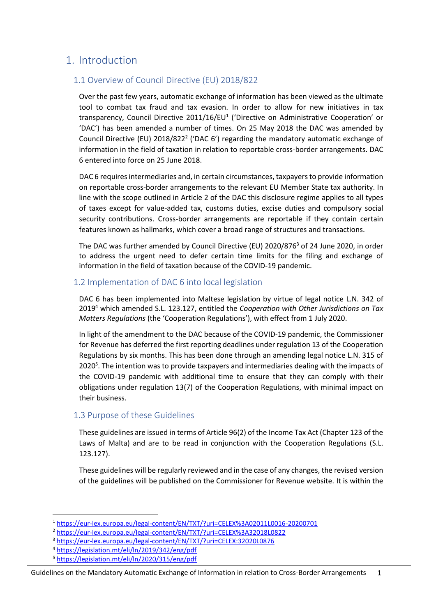## <span id="page-5-0"></span>1. Introduction

## <span id="page-5-1"></span>1.1 Overview of Council Directive (EU) 2018/822

Over the past few years, automatic exchange of information has been viewed as the ultimate tool to combat tax fraud and tax evasion. In order to allow for new initiatives in tax transparency, Council Directive 2011/16/EU<sup>1</sup> ('Directive on Administrative Cooperation' or 'DAC') has been amended a number of times. On 25 May 2018 the DAC was amended by Council Directive (EU)  $2018/822<sup>2</sup>$  ('DAC 6') regarding the mandatory automatic exchange of information in the field of taxation in relation to reportable cross-border arrangements. DAC 6 entered into force on 25 June 2018.

DAC 6 requires intermediaries and, in certain circumstances, taxpayers to provide information on reportable cross-border arrangements to the relevant EU Member State tax authority. In line with the scope outlined in Article 2 of the DAC this disclosure regime applies to all types of taxes except for value-added tax, customs duties, excise duties and compulsory social security contributions. Cross-border arrangements are reportable if they contain certain features known as hallmarks, which cover a broad range of structures and transactions.

The DAC was further amended by Council Directive (EU) 2020/876<sup>3</sup> of 24 June 2020, in order to address the urgent need to defer certain time limits for the filing and exchange of information in the field of taxation because of the COVID-19 pandemic.

## <span id="page-5-2"></span>1.2 Implementation of DAC 6 into local legislation

DAC 6 has been implemented into Maltese legislation by virtue of legal notice L.N. 342 of 2019 <sup>4</sup> which amended S.L. 123.127, entitled the *Cooperation with Other Jurisdictions on Tax Matters Regulations* (the 'Cooperation Regulations'), with effect from 1 July 2020.

In light of the amendment to the DAC because of the COVID-19 pandemic, the Commissioner for Revenue has deferred the first reporting deadlines under regulation 13 of the Cooperation Regulations by six months. This has been done through an amending legal notice L.N. 315 of 2020<sup>5</sup>. The intention was to provide taxpayers and intermediaries dealing with the impacts of the COVID-19 pandemic with additional time to ensure that they can comply with their obligations under regulation 13(7) of the Cooperation Regulations, with minimal impact on their business.

## <span id="page-5-3"></span>1.3 Purpose of these Guidelines

These guidelines are issued in terms of Article 96(2) of the Income Tax Act (Chapter 123 of the Laws of Malta) and are to be read in conjunction with the Cooperation Regulations (S.L. 123.127).

These guidelines will be regularly reviewed and in the case of any changes, the revised version of the guidelines will be published on the Commissioner for Revenue website. It is within the

- <sup>4</sup> <https://legislation.mt/eli/ln/2019/342/eng/pdf>
- <sup>5</sup> <https://legislation.mt/eli/ln/2020/315/eng/pdf>

<sup>1</sup> <https://eur-lex.europa.eu/legal-content/EN/TXT/?uri=CELEX%3A02011L0016-20200701>

<sup>2</sup> <https://eur-lex.europa.eu/legal-content/EN/TXT/?uri=CELEX%3A32018L0822>

<sup>3</sup> <https://eur-lex.europa.eu/legal-content/EN/TXT/?uri=CELEX:32020L0876>

Guidelines on the Mandatory Automatic Exchange of Information in relation to Cross-Border Arrangements 1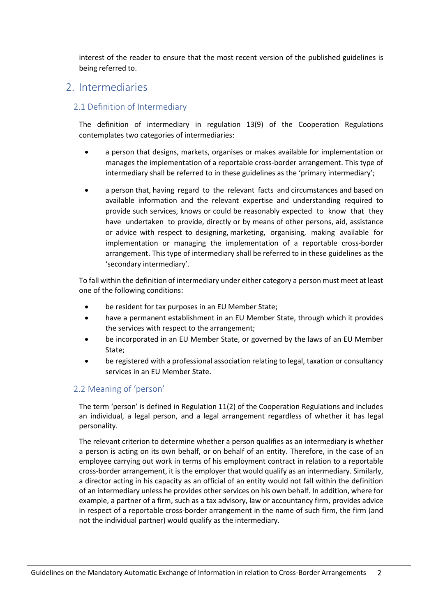interest of the reader to ensure that the most recent version of the published guidelines is being referred to.

## <span id="page-6-0"></span>2. Intermediaries

## <span id="page-6-1"></span>2.1 Definition of Intermediary

The definition of intermediary in regulation 13(9) of the Cooperation Regulations contemplates two categories of intermediaries:

- a person that designs, markets, organises or makes available for implementation or manages the implementation of a reportable cross-border arrangement. This type of intermediary shall be referred to in these guidelines as the 'primary intermediary';
- a person that, having regard to the relevant facts and circumstances and based on available information and the relevant expertise and understanding required to provide such services, knows or could be reasonably expected to know that they have undertaken to provide, directly or by means of other persons, aid, assistance or advice with respect to designing, marketing, organising, making available for implementation or managing the implementation of a reportable cross-border arrangement. This type of intermediary shall be referred to in these guidelines as the 'secondary intermediary'.

To fall within the definition of intermediary under either category a person must meet at least one of the following conditions:

- be resident for tax purposes in an EU Member State;
- have a permanent establishment in an EU Member State, through which it provides the services with respect to the arrangement;
- be incorporated in an EU Member State, or governed by the laws of an EU Member State;
- be registered with a professional association relating to legal, taxation or consultancy services in an EU Member State.

## <span id="page-6-2"></span>2.2 Meaning of 'person'

The term 'person' is defined in Regulation 11(2) of the Cooperation Regulations and includes an individual, a legal person, and a legal arrangement regardless of whether it has legal personality.

The relevant criterion to determine whether a person qualifies as an intermediary is whether a person is acting on its own behalf, or on behalf of an entity. Therefore, in the case of an employee carrying out work in terms of his employment contract in relation to a reportable cross-border arrangement, it is the employer that would qualify as an intermediary. Similarly, a director acting in his capacity as an official of an entity would not fall within the definition of an intermediary unless he provides other services on his own behalf. In addition, where for example, a partner of a firm, such as a tax advisory, law or accountancy firm, provides advice in respect of a reportable cross-border arrangement in the name of such firm, the firm (and not the individual partner) would qualify as the intermediary.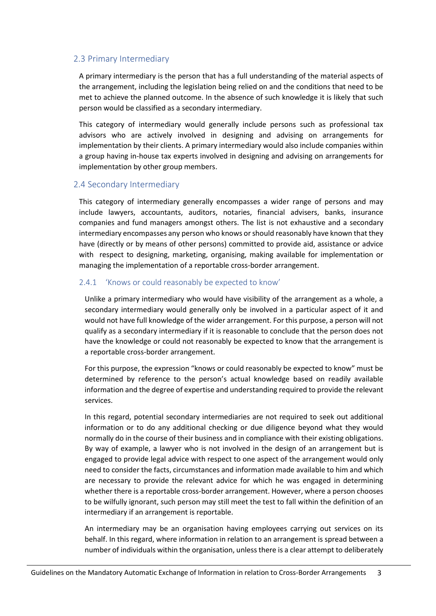### <span id="page-7-0"></span>2.3 Primary Intermediary

A primary intermediary is the person that has a full understanding of the material aspects of the arrangement, including the legislation being relied on and the conditions that need to be met to achieve the planned outcome. In the absence of such knowledge it is likely that such person would be classified as a secondary intermediary.

This category of intermediary would generally include persons such as professional tax advisors who are actively involved in designing and advising on arrangements for implementation by their clients. A primary intermediary would also include companies within a group having in-house tax experts involved in designing and advising on arrangements for implementation by other group members.

#### <span id="page-7-1"></span>2.4 Secondary Intermediary

This category of intermediary generally encompasses a wider range of persons and may include lawyers, accountants, auditors, notaries, financial advisers, banks, insurance companies and fund managers amongst others. The list is not exhaustive and a secondary intermediary encompasses any person who knows or should reasonably have known that they have (directly or by means of other persons) committed to provide aid, assistance or advice with respect to designing, marketing, organising, making available for implementation or managing the implementation of a reportable cross-border arrangement.

#### <span id="page-7-2"></span>2.4.1 'Knows or could reasonably be expected to know'

Unlike a primary intermediary who would have visibility of the arrangement as a whole, a secondary intermediary would generally only be involved in a particular aspect of it and would not have full knowledge of the wider arrangement. For this purpose, a person will not qualify as a secondary intermediary if it is reasonable to conclude that the person does not have the knowledge or could not reasonably be expected to know that the arrangement is a reportable cross-border arrangement.

For this purpose, the expression "knows or could reasonably be expected to know" must be determined by reference to the person's actual knowledge based on readily available information and the degree of expertise and understanding required to provide the relevant services.

In this regard, potential secondary intermediaries are not required to seek out additional information or to do any additional checking or due diligence beyond what they would normally do in the course of their business and in compliance with their existing obligations. By way of example, a lawyer who is not involved in the design of an arrangement but is engaged to provide legal advice with respect to one aspect of the arrangement would only need to consider the facts, circumstances and information made available to him and which are necessary to provide the relevant advice for which he was engaged in determining whether there is a reportable cross-border arrangement. However, where a person chooses to be wilfully ignorant, such person may still meet the test to fall within the definition of an intermediary if an arrangement is reportable.

An intermediary may be an organisation having employees carrying out services on its behalf. In this regard, where information in relation to an arrangement is spread between a number of individuals within the organisation, unless there is a clear attempt to deliberately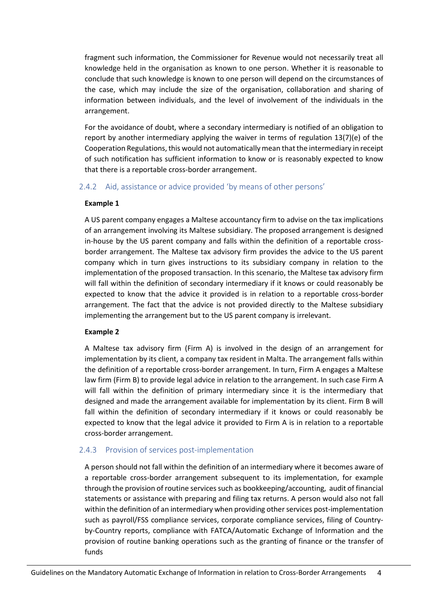fragment such information, the Commissioner for Revenue would not necessarily treat all knowledge held in the organisation as known to one person. Whether it is reasonable to conclude that such knowledge is known to one person will depend on the circumstances of the case, which may include the size of the organisation, collaboration and sharing of information between individuals, and the level of involvement of the individuals in the arrangement.

For the avoidance of doubt, where a secondary intermediary is notified of an obligation to report by another intermediary applying the waiver in terms of regulation 13(7)(e) of the Cooperation Regulations, this would not automatically mean that the intermediary in receipt of such notification has sufficient information to know or is reasonably expected to know that there is a reportable cross-border arrangement.

#### <span id="page-8-0"></span>2.4.2 Aid, assistance or advice provided 'by means of other persons'

#### **Example 1**

A US parent company engages a Maltese accountancy firm to advise on the tax implications of an arrangement involving its Maltese subsidiary. The proposed arrangement is designed in-house by the US parent company and falls within the definition of a reportable crossborder arrangement. The Maltese tax advisory firm provides the advice to the US parent company which in turn gives instructions to its subsidiary company in relation to the implementation of the proposed transaction. In this scenario, the Maltese tax advisory firm will fall within the definition of secondary intermediary if it knows or could reasonably be expected to know that the advice it provided is in relation to a reportable cross-border arrangement. The fact that the advice is not provided directly to the Maltese subsidiary implementing the arrangement but to the US parent company is irrelevant.

#### **Example 2**

A Maltese tax advisory firm (Firm A) is involved in the design of an arrangement for implementation by its client, a company tax resident in Malta. The arrangement falls within the definition of a reportable cross-border arrangement. In turn, Firm A engages a Maltese law firm (Firm B) to provide legal advice in relation to the arrangement. In such case Firm A will fall within the definition of primary intermediary since it is the intermediary that designed and made the arrangement available for implementation by its client. Firm B will fall within the definition of secondary intermediary if it knows or could reasonably be expected to know that the legal advice it provided to Firm A is in relation to a reportable cross-border arrangement.

#### <span id="page-8-1"></span>2.4.3 Provision of services post-implementation

A person should not fall within the definition of an intermediary where it becomes aware of a reportable cross-border arrangement subsequent to its implementation, for example through the provision of routine services such as bookkeeping/accounting, audit of financial statements or assistance with preparing and filing tax returns. A person would also not fall within the definition of an intermediary when providing other services post-implementation such as payroll/FSS compliance services, corporate compliance services, filing of Countryby-Country reports, compliance with FATCA/Automatic Exchange of Information and the provision of routine banking operations such as the granting of finance or the transfer of funds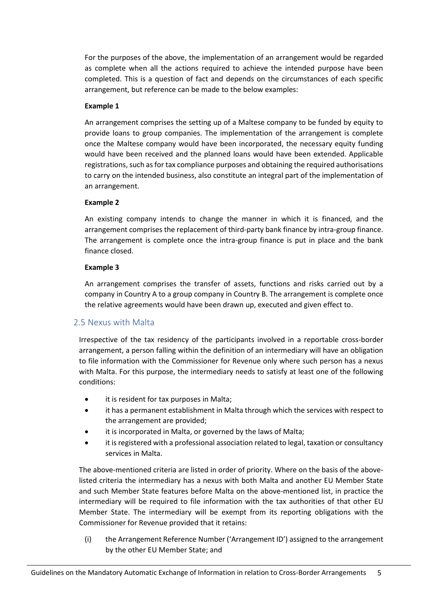For the purposes of the above, the implementation of an arrangement would be regarded as complete when all the actions required to achieve the intended purpose have been completed. This is a question of fact and depends on the circumstances of each specific arrangement, but reference can be made to the below examples:

#### **Example 1**

An arrangement comprises the setting up of a Maltese company to be funded by equity to provide loans to group companies. The implementation of the arrangement is complete once the Maltese company would have been incorporated, the necessary equity funding would have been received and the planned loans would have been extended. Applicable registrations, such as for tax compliance purposes and obtaining the required authorisations to carry on the intended business, also constitute an integral part of the implementation of an arrangement.

### **Example 2**

An existing company intends to change the manner in which it is financed, and the arrangement comprises the replacement of third-party bank finance by intra-group finance. The arrangement is complete once the intra-group finance is put in place and the bank finance closed.

## **Example 3**

An arrangement comprises the transfer of assets, functions and risks carried out by a company in Country A to a group company in Country B. The arrangement is complete once the relative agreements would have been drawn up, executed and given effect to.

## <span id="page-9-0"></span>2.5 Nexus with Malta

Irrespective of the tax residency of the participants involved in a reportable cross-border arrangement, a person falling within the definition of an intermediary will have an obligation to file information with the Commissioner for Revenue only where such person has a nexus with Malta. For this purpose, the intermediary needs to satisfy at least one of the following conditions:

- it is resident for tax purposes in Malta;
- it has a permanent establishment in Malta through which the services with respect to the arrangement are provided;
- it is incorporated in Malta, or governed by the laws of Malta;
- it is registered with a professional association related to legal, taxation or consultancy services in Malta.

The above-mentioned criteria are listed in order of priority. Where on the basis of the abovelisted criteria the intermediary has a nexus with both Malta and another EU Member State and such Member State features before Malta on the above-mentioned list, in practice the intermediary will be required to file information with the tax authorities of that other EU Member State. The intermediary will be exempt from its reporting obligations with the Commissioner for Revenue provided that it retains:

(i) the Arrangement Reference Number ('Arrangement ID') assigned to the arrangement by the other EU Member State; and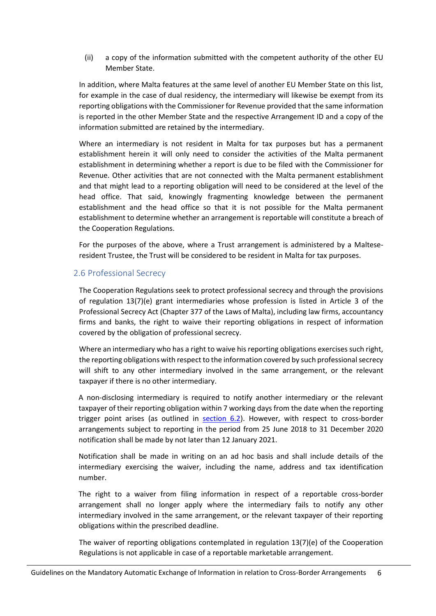(ii) a copy of the information submitted with the competent authority of the other EU Member State.

In addition, where Malta features at the same level of another EU Member State on this list, for example in the case of dual residency, the intermediary will likewise be exempt from its reporting obligations with the Commissioner for Revenue provided that the same information is reported in the other Member State and the respective Arrangement ID and a copy of the information submitted are retained by the intermediary.

Where an intermediary is not resident in Malta for tax purposes but has a permanent establishment herein it will only need to consider the activities of the Malta permanent establishment in determining whether a report is due to be filed with the Commissioner for Revenue. Other activities that are not connected with the Malta permanent establishment and that might lead to a reporting obligation will need to be considered at the level of the head office. That said, knowingly fragmenting knowledge between the permanent establishment and the head office so that it is not possible for the Malta permanent establishment to determine whether an arrangement is reportable will constitute a breach of the Cooperation Regulations.

For the purposes of the above, where a Trust arrangement is administered by a Malteseresident Trustee, the Trust will be considered to be resident in Malta for tax purposes.

### <span id="page-10-0"></span>2.6 Professional Secrecy

The Cooperation Regulations seek to protect professional secrecy and through the provisions of regulation 13(7)(e) grant intermediaries whose profession is listed in Article 3 of the Professional Secrecy Act (Chapter 377 of the Laws of Malta), including law firms, accountancy firms and banks, the right to waive their reporting obligations in respect of information covered by the obligation of professional secrecy.

Where an intermediary who has a right to waive his reporting obligations exercises such right. the reporting obligations with respect to the information covered by such professional secrecy will shift to any other intermediary involved in the same arrangement, or the relevant taxpayer if there is no other intermediary.

A non-disclosing intermediary is required to notify another intermediary or the relevant taxpayer of their reporting obligation within 7 working days from the date when the reporting trigger point arises (as outlined in [section 6.2\)](#page-22-0). However, with respect to cross-border arrangements subject to reporting in the period from 25 June 2018 to 31 December 2020 notification shall be made by not later than 12 January 2021.

Notification shall be made in writing on an ad hoc basis and shall include details of the intermediary exercising the waiver, including the name, address and tax identification number.

The right to a waiver from filing information in respect of a reportable cross-border arrangement shall no longer apply where the intermediary fails to notify any other intermediary involved in the same arrangement, or the relevant taxpayer of their reporting obligations within the prescribed deadline.

The waiver of reporting obligations contemplated in regulation 13(7)(e) of the Cooperation Regulations is not applicable in case of a reportable marketable arrangement.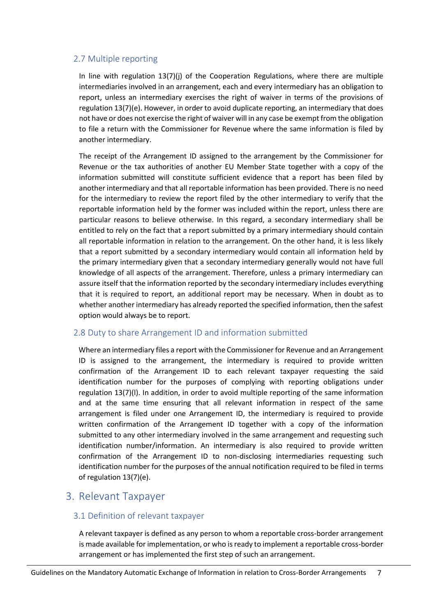## <span id="page-11-0"></span>2.7 Multiple reporting

In line with regulation 13(7)(j) of the Cooperation Regulations, where there are multiple intermediaries involved in an arrangement, each and every intermediary has an obligation to report, unless an intermediary exercises the right of waiver in terms of the provisions of regulation 13(7)(e). However, in order to avoid duplicate reporting, an intermediary that does not have or does not exercise the right of waiver will in any case be exempt from the obligation to file a return with the Commissioner for Revenue where the same information is filed by another intermediary.

The receipt of the Arrangement ID assigned to the arrangement by the Commissioner for Revenue or the tax authorities of another EU Member State together with a copy of the information submitted will constitute sufficient evidence that a report has been filed by another intermediary and that all reportable information has been provided. There is no need for the intermediary to review the report filed by the other intermediary to verify that the reportable information held by the former was included within the report, unless there are particular reasons to believe otherwise. In this regard, a secondary intermediary shall be entitled to rely on the fact that a report submitted by a primary intermediary should contain all reportable information in relation to the arrangement. On the other hand, it is less likely that a report submitted by a secondary intermediary would contain all information held by the primary intermediary given that a secondary intermediary generally would not have full knowledge of all aspects of the arrangement. Therefore, unless a primary intermediary can assure itself that the information reported by the secondary intermediary includes everything that it is required to report, an additional report may be necessary. When in doubt as to whether another intermediary has already reported the specified information, then the safest option would always be to report.

## <span id="page-11-1"></span>2.8 Duty to share Arrangement ID and information submitted

Where an intermediary files a report with the Commissioner for Revenue and an Arrangement ID is assigned to the arrangement, the intermediary is required to provide written confirmation of the Arrangement ID to each relevant taxpayer requesting the said identification number for the purposes of complying with reporting obligations under regulation 13(7)(l). In addition, in order to avoid multiple reporting of the same information and at the same time ensuring that all relevant information in respect of the same arrangement is filed under one Arrangement ID, the intermediary is required to provide written confirmation of the Arrangement ID together with a copy of the information submitted to any other intermediary involved in the same arrangement and requesting such identification number/information. An intermediary is also required to provide written confirmation of the Arrangement ID to non-disclosing intermediaries requesting such identification number for the purposes of the annual notification required to be filed in terms of regulation 13(7)(e).

## <span id="page-11-2"></span>3. Relevant Taxpayer

## <span id="page-11-3"></span>3.1 Definition of relevant taxpayer

A relevant taxpayer is defined as any person to whom a reportable cross-border arrangement is made available for implementation, or who is ready to implement a reportable cross-border arrangement or has implemented the first step of such an arrangement.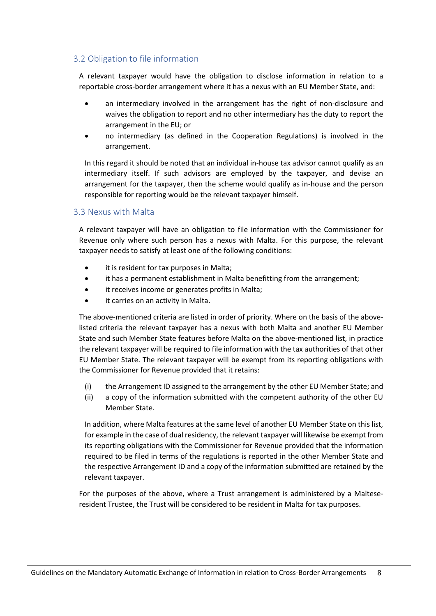## <span id="page-12-0"></span>3.2 Obligation to file information

A relevant taxpayer would have the obligation to disclose information in relation to a reportable cross-border arrangement where it has a nexus with an EU Member State, and:

- an intermediary involved in the arrangement has the right of non-disclosure and waives the obligation to report and no other intermediary has the duty to report the arrangement in the EU; or
- no intermediary (as defined in the Cooperation Regulations) is involved in the arrangement.

In this regard it should be noted that an individual in-house tax advisor cannot qualify as an intermediary itself. If such advisors are employed by the taxpayer, and devise an arrangement for the taxpayer, then the scheme would qualify as in-house and the person responsible for reporting would be the relevant taxpayer himself.

#### <span id="page-12-1"></span>3.3 Nexus with Malta

A relevant taxpayer will have an obligation to file information with the Commissioner for Revenue only where such person has a nexus with Malta. For this purpose, the relevant taxpayer needs to satisfy at least one of the following conditions:

- it is resident for tax purposes in Malta;
- it has a permanent establishment in Malta benefitting from the arrangement;
- it receives income or generates profits in Malta;
- it carries on an activity in Malta.

The above-mentioned criteria are listed in order of priority. Where on the basis of the abovelisted criteria the relevant taxpayer has a nexus with both Malta and another EU Member State and such Member State features before Malta on the above-mentioned list, in practice the relevant taxpayer will be required to file information with the tax authorities of that other EU Member State. The relevant taxpayer will be exempt from its reporting obligations with the Commissioner for Revenue provided that it retains:

- (i) the Arrangement ID assigned to the arrangement by the other EU Member State; and
- (ii) a copy of the information submitted with the competent authority of the other EU Member State.

In addition, where Malta features at the same level of another EU Member State on this list, for example in the case of dual residency, the relevant taxpayer will likewise be exempt from its reporting obligations with the Commissioner for Revenue provided that the information required to be filed in terms of the regulations is reported in the other Member State and the respective Arrangement ID and a copy of the information submitted are retained by the relevant taxpayer.

For the purposes of the above, where a Trust arrangement is administered by a Malteseresident Trustee, the Trust will be considered to be resident in Malta for tax purposes.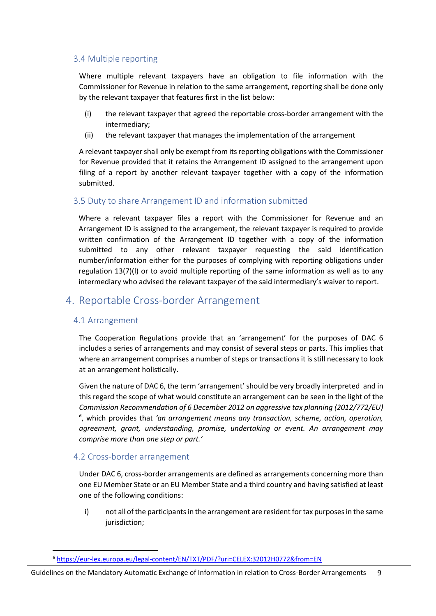### <span id="page-13-0"></span>3.4 Multiple reporting

Where multiple relevant taxpayers have an obligation to file information with the Commissioner for Revenue in relation to the same arrangement, reporting shall be done only by the relevant taxpayer that features first in the list below:

- (i) the relevant taxpayer that agreed the reportable cross-border arrangement with the intermediary;
- (ii) the relevant taxpayer that manages the implementation of the arrangement

A relevant taxpayer shall only be exempt from its reporting obligations with the Commissioner for Revenue provided that it retains the Arrangement ID assigned to the arrangement upon filing of a report by another relevant taxpayer together with a copy of the information submitted.

### <span id="page-13-1"></span>3.5 Duty to share Arrangement ID and information submitted

Where a relevant taxpayer files a report with the Commissioner for Revenue and an Arrangement ID is assigned to the arrangement, the relevant taxpayer is required to provide written confirmation of the Arrangement ID together with a copy of the information submitted to any other relevant taxpayer requesting the said identification number/information either for the purposes of complying with reporting obligations under regulation 13(7)(l) or to avoid multiple reporting of the same information as well as to any intermediary who advised the relevant taxpayer of the said intermediary's waiver to report.

## <span id="page-13-2"></span>4. Reportable Cross-border Arrangement

#### <span id="page-13-3"></span>4.1 Arrangement

The Cooperation Regulations provide that an 'arrangement' for the purposes of DAC 6 includes a series of arrangements and may consist of several steps or parts. This implies that where an arrangement comprises a number of steps or transactions it is still necessary to look at an arrangement holistically.

Given the nature of DAC 6, the term 'arrangement' should be very broadly interpreted and in this regard the scope of what would constitute an arrangement can be seen in the light of the *Commission Recommendation of 6 December 2012 on aggressive tax planning (2012/772/EU) 6* , which provides that *'an arrangement means any transaction, scheme, action, operation, agreement, grant, understanding, promise, undertaking or event. An arrangement may comprise more than one step or part.'* 

#### <span id="page-13-4"></span>4.2 Cross-border arrangement

Under DAC 6, cross-border arrangements are defined as arrangements concerning more than one EU Member State or an EU Member State and a third country and having satisfied at least one of the following conditions:

i) not all of the participants in the arrangement are resident for tax purposes in the same jurisdiction;

<sup>6</sup> <https://eur-lex.europa.eu/legal-content/EN/TXT/PDF/?uri=CELEX:32012H0772&from=EN>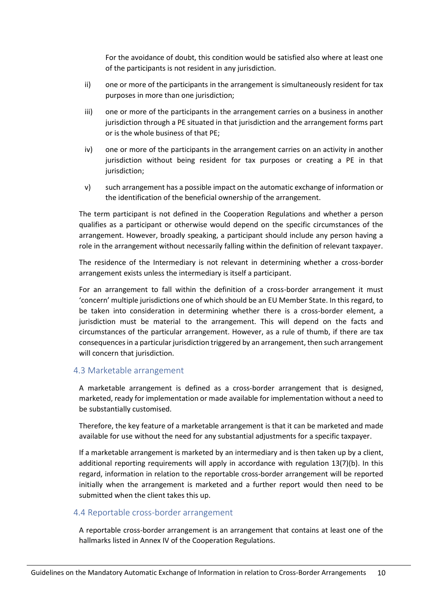For the avoidance of doubt, this condition would be satisfied also where at least one of the participants is not resident in any jurisdiction.

- ii) one or more of the participants in the arrangement is simultaneously resident for tax purposes in more than one jurisdiction;
- iii) one or more of the participants in the arrangement carries on a business in another jurisdiction through a PE situated in that jurisdiction and the arrangement forms part or is the whole business of that PE;
- iv) one or more of the participants in the arrangement carries on an activity in another jurisdiction without being resident for tax purposes or creating a PE in that jurisdiction;
- v) such arrangement has a possible impact on the automatic exchange of information or the identification of the beneficial ownership of the arrangement.

The term participant is not defined in the Cooperation Regulations and whether a person qualifies as a participant or otherwise would depend on the specific circumstances of the arrangement. However, broadly speaking, a participant should include any person having a role in the arrangement without necessarily falling within the definition of relevant taxpayer.

The residence of the Intermediary is not relevant in determining whether a cross-border arrangement exists unless the intermediary is itself a participant.

For an arrangement to fall within the definition of a cross-border arrangement it must 'concern' multiple jurisdictions one of which should be an EU Member State. In this regard, to be taken into consideration in determining whether there is a cross-border element, a jurisdiction must be material to the arrangement. This will depend on the facts and circumstances of the particular arrangement. However, as a rule of thumb, if there are tax consequences in a particular jurisdiction triggered by an arrangement, then such arrangement will concern that jurisdiction.

#### <span id="page-14-0"></span>4.3 Marketable arrangement

A marketable arrangement is defined as a cross-border arrangement that is designed, marketed, ready for implementation or made available for implementation without a need to be substantially customised.

Therefore, the key feature of a marketable arrangement is that it can be marketed and made available for use without the need for any substantial adjustments for a specific taxpayer.

If a marketable arrangement is marketed by an intermediary and is then taken up by a client, additional reporting requirements will apply in accordance with regulation 13(7)(b). In this regard, information in relation to the reportable cross-border arrangement will be reported initially when the arrangement is marketed and a further report would then need to be submitted when the client takes this up.

#### <span id="page-14-1"></span>4.4 Reportable cross-border arrangement

A reportable cross-border arrangement is an arrangement that contains at least one of the hallmarks listed in Annex IV of the Cooperation Regulations.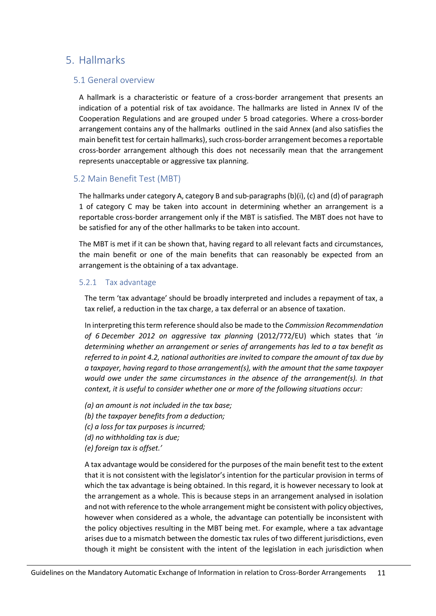## <span id="page-15-0"></span>5. Hallmarks

### <span id="page-15-1"></span>5.1 General overview

A hallmark is a characteristic or feature of a cross-border arrangement that presents an indication of a potential risk of tax avoidance. The hallmarks are listed in Annex IV of the Cooperation Regulations and are grouped under 5 broad categories. Where a cross-border arrangement contains any of the hallmarks outlined in the said Annex (and also satisfies the main benefit test for certain hallmarks), such cross-border arrangement becomes a reportable cross-border arrangement although this does not necessarily mean that the arrangement represents unacceptable or aggressive tax planning.

## <span id="page-15-2"></span>5.2 Main Benefit Test (MBT)

The hallmarks under category A, category B and sub-paragraphs (b)(i), (c) and (d) of paragraph 1 of category C may be taken into account in determining whether an arrangement is a reportable cross-border arrangement only if the MBT is satisfied. The MBT does not have to be satisfied for any of the other hallmarks to be taken into account.

The MBT is met if it can be shown that, having regard to all relevant facts and circumstances, the main benefit or one of the main benefits that can reasonably be expected from an arrangement is the obtaining of a tax advantage.

#### <span id="page-15-3"></span>5.2.1 Tax advantage

The term 'tax advantage' should be broadly interpreted and includes a repayment of tax, a tax relief, a reduction in the tax charge, a tax deferral or an absence of taxation.

In interpreting this term reference should also be made to the *Commission Recommendation of 6 December 2012 on aggressive tax planning* (2012/772/EU) which states that '*in determining whether an arrangement or series of arrangements has led to a tax benefit as referred to in point 4.2, national authorities are invited to compare the amount of tax due by a taxpayer, having regard to those arrangement(s), with the amount that the same taxpayer would owe under the same circumstances in the absence of the arrangement(s). In that context, it is useful to consider whether one or more of the following situations occur:*

- *(a) an amount is not included in the tax base;*
- *(b) the taxpayer benefits from a deduction;*
- *(c) a loss for tax purposes is incurred;*
- *(d) no withholding tax is due;*
- *(e) foreign tax is offset.'*

A tax advantage would be considered for the purposes of the main benefit test to the extent that it is not consistent with the legislator's intention for the particular provision in terms of which the tax advantage is being obtained. In this regard, it is however necessary to look at the arrangement as a whole. This is because steps in an arrangement analysed in isolation and not with reference to the whole arrangement might be consistent with policy objectives, however when considered as a whole, the advantage can potentially be inconsistent with the policy objectives resulting in the MBT being met. For example, where a tax advantage arises due to a mismatch between the domestic tax rules of two different jurisdictions, even though it might be consistent with the intent of the legislation in each jurisdiction when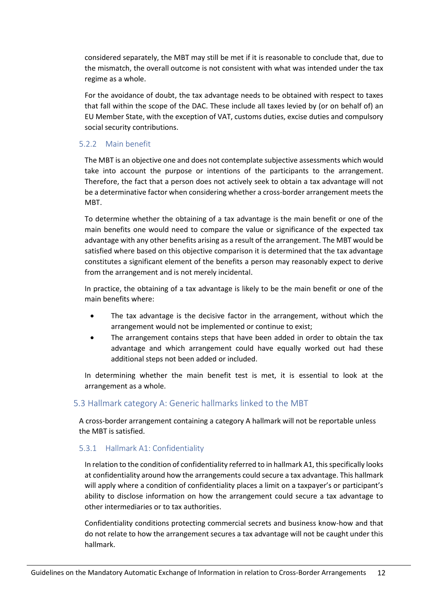considered separately, the MBT may still be met if it is reasonable to conclude that, due to the mismatch, the overall outcome is not consistent with what was intended under the tax regime as a whole.

For the avoidance of doubt, the tax advantage needs to be obtained with respect to taxes that fall within the scope of the DAC. These include all taxes levied by (or on behalf of) an EU Member State, with the exception of VAT, customs duties, excise duties and compulsory social security contributions.

#### <span id="page-16-0"></span>5.2.2 Main benefit

The MBT is an objective one and does not contemplate subjective assessments which would take into account the purpose or intentions of the participants to the arrangement. Therefore, the fact that a person does not actively seek to obtain a tax advantage will not be a determinative factor when considering whether a cross-border arrangement meets the MBT.

To determine whether the obtaining of a tax advantage is the main benefit or one of the main benefits one would need to compare the value or significance of the expected tax advantage with any other benefits arising as a result of the arrangement. The MBT would be satisfied where based on this objective comparison it is determined that the tax advantage constitutes a significant element of the benefits a person may reasonably expect to derive from the arrangement and is not merely incidental.

In practice, the obtaining of a tax advantage is likely to be the main benefit or one of the main benefits where:

- The tax advantage is the decisive factor in the arrangement, without which the arrangement would not be implemented or continue to exist;
- The arrangement contains steps that have been added in order to obtain the tax advantage and which arrangement could have equally worked out had these additional steps not been added or included.

In determining whether the main benefit test is met, it is essential to look at the arrangement as a whole.

## <span id="page-16-1"></span>5.3 Hallmark category A: Generic hallmarks linked to the MBT

A cross-border arrangement containing a category A hallmark will not be reportable unless the MBT is satisfied.

#### <span id="page-16-2"></span>5.3.1 Hallmark A1: Confidentiality

In relation to the condition of confidentiality referred to in hallmark A1, this specifically looks at confidentiality around how the arrangements could secure a tax advantage. This hallmark will apply where a condition of confidentiality places a limit on a taxpayer's or participant's ability to disclose information on how the arrangement could secure a tax advantage to other intermediaries or to tax authorities.

Confidentiality conditions protecting commercial secrets and business know-how and that do not relate to how the arrangement secures a tax advantage will not be caught under this hallmark.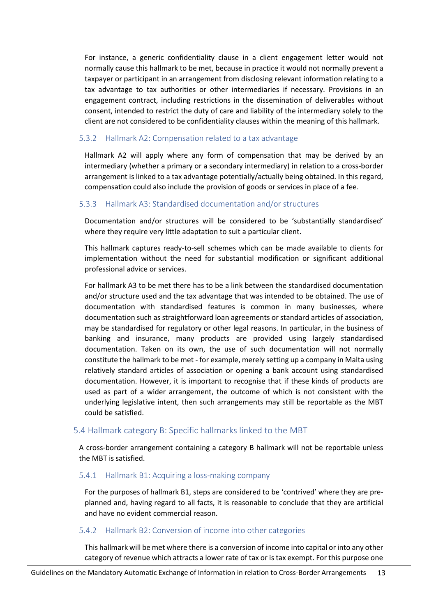For instance, a generic confidentiality clause in a client engagement letter would not normally cause this hallmark to be met, because in practice it would not normally prevent a taxpayer or participant in an arrangement from disclosing relevant information relating to a tax advantage to tax authorities or other intermediaries if necessary. Provisions in an engagement contract, including restrictions in the dissemination of deliverables without consent, intended to restrict the duty of care and liability of the intermediary solely to the client are not considered to be confidentiality clauses within the meaning of this hallmark.

#### <span id="page-17-0"></span>5.3.2 Hallmark A2: Compensation related to a tax advantage

Hallmark A2 will apply where any form of compensation that may be derived by an intermediary (whether a primary or a secondary intermediary) in relation to a cross-border arrangement is linked to a tax advantage potentially/actually being obtained. In this regard, compensation could also include the provision of goods or services in place of a fee.

#### <span id="page-17-1"></span>5.3.3 Hallmark A3: Standardised documentation and/or structures

Documentation and/or structures will be considered to be 'substantially standardised' where they require very little adaptation to suit a particular client.

This hallmark captures ready-to-sell schemes which can be made available to clients for implementation without the need for substantial modification or significant additional professional advice or services.

For hallmark A3 to be met there has to be a link between the standardised documentation and/or structure used and the tax advantage that was intended to be obtained. The use of documentation with standardised features is common in many businesses, where documentation such as straightforward loan agreements or standard articles of association, may be standardised for regulatory or other legal reasons. In particular, in the business of banking and insurance, many products are provided using largely standardised documentation. Taken on its own, the use of such documentation will not normally constitute the hallmark to be met - for example, merely setting up a company in Malta using relatively standard articles of association or opening a bank account using standardised documentation. However, it is important to recognise that if these kinds of products are used as part of a wider arrangement, the outcome of which is not consistent with the underlying legislative intent, then such arrangements may still be reportable as the MBT could be satisfied.

#### <span id="page-17-2"></span>5.4 Hallmark category B: Specific hallmarks linked to the MBT

A cross-border arrangement containing a category B hallmark will not be reportable unless the MBT is satisfied.

#### <span id="page-17-3"></span>5.4.1 Hallmark B1: Acquiring a loss-making company

For the purposes of hallmark B1, steps are considered to be 'contrived' where they are preplanned and, having regard to all facts, it is reasonable to conclude that they are artificial and have no evident commercial reason.

#### <span id="page-17-4"></span>5.4.2 Hallmark B2: Conversion of income into other categories

This hallmark will be met where there is a conversion of income into capital or into any other category of revenue which attracts a lower rate of tax or is tax exempt. For this purpose one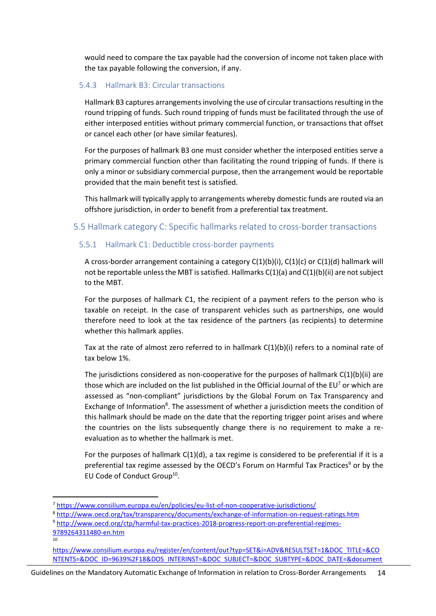would need to compare the tax payable had the conversion of income not taken place with the tax payable following the conversion, if any.

#### <span id="page-18-0"></span>5.4.3 Hallmark B3: Circular transactions

Hallmark B3 captures arrangements involving the use of circular transactions resulting in the round tripping of funds. Such round tripping of funds must be facilitated through the use of either interposed entities without primary commercial function, or transactions that offset or cancel each other (or have similar features).

For the purposes of hallmark B3 one must consider whether the interposed entities serve a primary commercial function other than facilitating the round tripping of funds. If there is only a minor or subsidiary commercial purpose, then the arrangement would be reportable provided that the main benefit test is satisfied.

This hallmark will typically apply to arrangements whereby domestic funds are routed via an offshore jurisdiction, in order to benefit from a preferential tax treatment.

## <span id="page-18-1"></span>5.5 Hallmark category C: Specific hallmarks related to cross-border transactions

## <span id="page-18-2"></span>5.5.1 Hallmark C1: Deductible cross-border payments

A cross-border arrangement containing a category  $C(1)(b)(i)$ ,  $C(1)(c)$  or  $C(1)(d)$  hallmark will not be reportable unless the MBT is satisfied. Hallmarks  $C(1)(a)$  and  $C(1)(b)(ii)$  are not subject to the MBT.

For the purposes of hallmark C1, the recipient of a payment refers to the person who is taxable on receipt. In the case of transparent vehicles such as partnerships, one would therefore need to look at the tax residence of the partners (as recipients) to determine whether this hallmark applies.

Tax at the rate of almost zero referred to in hallmark  $C(1)(b)(i)$  refers to a nominal rate of tax below 1%.

The jurisdictions considered as non-cooperative for the purposes of hallmark  $C(1)(b)(ii)$  are those which are included on the list published in the Official Journal of the EU<sup>7</sup> or which are assessed as "non-compliant" jurisdictions by the Global Forum on Tax Transparency and Exchange of Information<sup>8</sup>. The assessment of whether a jurisdiction meets the condition of this hallmark should be made on the date that the reporting trigger point arises and where the countries on the lists subsequently change there is no requirement to make a reevaluation as to whether the hallmark is met.

For the purposes of hallmark C(1)(d), a tax regime is considered to be preferential if it is a preferential tax regime assessed by the OECD's Forum on Harmful Tax Practices<sup>9</sup> or by the EU Code of Conduct Group<sup>10</sup>.

10

Guidelines on the Mandatory Automatic Exchange of Information in relation to Cross-Border Arrangements 14

<sup>7</sup> <https://www.consilium.europa.eu/en/policies/eu-list-of-non-cooperative-jurisdictions/>

<sup>8</sup> <http://www.oecd.org/tax/transparency/documents/exchange-of-information-on-request-ratings.htm>

<sup>9</sup> [http://www.oecd.org/ctp/harmful-tax-practices-2018-progress-report-on-preferential-regimes-](http://www.oecd.org/ctp/harmful-tax-practices-2018-progress-report-on-preferential-regimes-9789264311480-en.htm)[9789264311480-en.htm](http://www.oecd.org/ctp/harmful-tax-practices-2018-progress-report-on-preferential-regimes-9789264311480-en.htm)

[https://www.consilium.europa.eu/register/en/content/out?typ=SET&i=ADV&RESULTSET=1&DOC\\_TITLE=&CO](https://www.consilium.europa.eu/register/en/content/out?typ=SET&i=ADV&RESULTSET=1&DOC_TITLE=&CONTENTS=&DOC_ID=9639%2F18&DOS_INTERINST=&DOC_SUBJECT=&DOC_SUBTYPE=&DOC_DATE=&document_date_from_date=&document_date_from_date_submit=&document_date_to_date=&document_date_to_date_submit=&MEET_DATE=&meeting_date_from_date=&meeting_date_from_date_submit=&meeting_date_to_date=&meeting_date_to_date_submit=&DOC_LANCD=EN&ROWSPP=25&NRROWS=500&ORDERBY=DOC_DATE+DESC) [NTENTS=&DOC\\_ID=9639%2F18&DOS\\_INTERINST=&DOC\\_SUBJECT=&DOC\\_SUBTYPE=&DOC\\_DATE=&document](https://www.consilium.europa.eu/register/en/content/out?typ=SET&i=ADV&RESULTSET=1&DOC_TITLE=&CONTENTS=&DOC_ID=9639%2F18&DOS_INTERINST=&DOC_SUBJECT=&DOC_SUBTYPE=&DOC_DATE=&document_date_from_date=&document_date_from_date_submit=&document_date_to_date=&document_date_to_date_submit=&MEET_DATE=&meeting_date_from_date=&meeting_date_from_date_submit=&meeting_date_to_date=&meeting_date_to_date_submit=&DOC_LANCD=EN&ROWSPP=25&NRROWS=500&ORDERBY=DOC_DATE+DESC)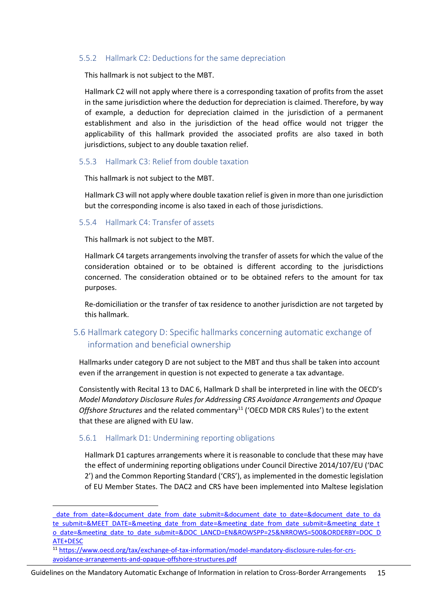#### <span id="page-19-0"></span>5.5.2 Hallmark C2: Deductions for the same depreciation

This hallmark is not subject to the MBT.

Hallmark C2 will not apply where there is a corresponding taxation of profits from the asset in the same jurisdiction where the deduction for depreciation is claimed. Therefore, by way of example, a deduction for depreciation claimed in the jurisdiction of a permanent establishment and also in the jurisdiction of the head office would not trigger the applicability of this hallmark provided the associated profits are also taxed in both jurisdictions, subject to any double taxation relief.

#### <span id="page-19-1"></span>5.5.3 Hallmark C3: Relief from double taxation

This hallmark is not subject to the MBT.

Hallmark C3 will not apply where double taxation relief is given in more than one jurisdiction but the corresponding income is also taxed in each of those jurisdictions.

<span id="page-19-2"></span>5.5.4 Hallmark C4: Transfer of assets

This hallmark is not subject to the MBT.

Hallmark C4 targets arrangements involving the transfer of assets for which the value of the consideration obtained or to be obtained is different according to the jurisdictions concerned. The consideration obtained or to be obtained refers to the amount for tax purposes.

Re-domiciliation or the transfer of tax residence to another jurisdiction are not targeted by this hallmark.

## <span id="page-19-3"></span>5.6 Hallmark category D: Specific hallmarks concerning automatic exchange of information and beneficial ownership

Hallmarks under category D are not subject to the MBT and thus shall be taken into account even if the arrangement in question is not expected to generate a tax advantage.

Consistently with Recital 13 to DAC 6, Hallmark D shall be interpreted in line with the OECD's *Model Mandatory Disclosure Rules for Addressing CRS Avoidance Arrangements and Opaque Offshore Structures* and the related commentary<sup>11</sup> ('OECD MDR CRS Rules') to the extent that these are aligned with EU law.

#### <span id="page-19-4"></span>5.6.1 Hallmark D1: Undermining reporting obligations

Hallmark D1 captures arrangements where it is reasonable to conclude that these may have the effect of undermining reporting obligations under Council Directive 2014/107/EU ('DAC 2') and the Common Reporting Standard ('CRS'), as implemented in the domestic legislation of EU Member States. The DAC2 and CRS have been implemented into Maltese legislation

Guidelines on the Mandatory Automatic Exchange of Information in relation to Cross-Border Arrangements 15

date from date=&document date from date submit=&document date to date=&document date to da [te\\_submit=&MEET\\_DATE=&meeting\\_date\\_from\\_date=&meeting\\_date\\_from\\_date\\_submit=&meeting\\_date\\_t](https://www.consilium.europa.eu/register/en/content/out?typ=SET&i=ADV&RESULTSET=1&DOC_TITLE=&CONTENTS=&DOC_ID=9639%2F18&DOS_INTERINST=&DOC_SUBJECT=&DOC_SUBTYPE=&DOC_DATE=&document_date_from_date=&document_date_from_date_submit=&document_date_to_date=&document_date_to_date_submit=&MEET_DATE=&meeting_date_from_date=&meeting_date_from_date_submit=&meeting_date_to_date=&meeting_date_to_date_submit=&DOC_LANCD=EN&ROWSPP=25&NRROWS=500&ORDERBY=DOC_DATE+DESC) [o\\_date=&meeting\\_date\\_to\\_date\\_submit=&DOC\\_LANCD=EN&ROWSPP=25&NRROWS=500&ORDERBY=DOC\\_D](https://www.consilium.europa.eu/register/en/content/out?typ=SET&i=ADV&RESULTSET=1&DOC_TITLE=&CONTENTS=&DOC_ID=9639%2F18&DOS_INTERINST=&DOC_SUBJECT=&DOC_SUBTYPE=&DOC_DATE=&document_date_from_date=&document_date_from_date_submit=&document_date_to_date=&document_date_to_date_submit=&MEET_DATE=&meeting_date_from_date=&meeting_date_from_date_submit=&meeting_date_to_date=&meeting_date_to_date_submit=&DOC_LANCD=EN&ROWSPP=25&NRROWS=500&ORDERBY=DOC_DATE+DESC) [ATE+DESC](https://www.consilium.europa.eu/register/en/content/out?typ=SET&i=ADV&RESULTSET=1&DOC_TITLE=&CONTENTS=&DOC_ID=9639%2F18&DOS_INTERINST=&DOC_SUBJECT=&DOC_SUBTYPE=&DOC_DATE=&document_date_from_date=&document_date_from_date_submit=&document_date_to_date=&document_date_to_date_submit=&MEET_DATE=&meeting_date_from_date=&meeting_date_from_date_submit=&meeting_date_to_date=&meeting_date_to_date_submit=&DOC_LANCD=EN&ROWSPP=25&NRROWS=500&ORDERBY=DOC_DATE+DESC)

<sup>11</sup> [https://www.oecd.org/tax/exchange-of-tax-information/model-mandatory-disclosure-rules-for-crs](https://www.oecd.org/tax/exchange-of-tax-information/model-mandatory-disclosure-rules-for-crs-avoidance-arrangements-and-opaque-offshore-structures.pdf)[avoidance-arrangements-and-opaque-offshore-structures.pdf](https://www.oecd.org/tax/exchange-of-tax-information/model-mandatory-disclosure-rules-for-crs-avoidance-arrangements-and-opaque-offshore-structures.pdf)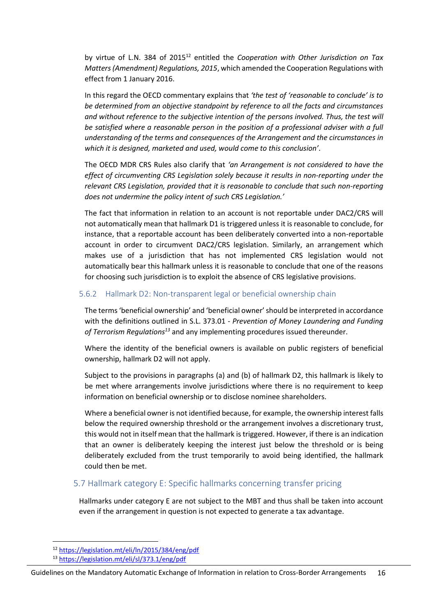by virtue of L.N. 384 of 2015<sup>12</sup> entitled the *Cooperation with Other Jurisdiction on Tax Matters (Amendment) Regulations, 2015*, which amended the Cooperation Regulations with effect from 1 January 2016.

In this regard the OECD commentary explains that *'the test of 'reasonable to conclude' is to be determined from an objective standpoint by reference to all the facts and circumstances and without reference to the subjective intention of the persons involved. Thus, the test will be satisfied where a reasonable person in the position of a professional adviser with a full understanding of the terms and consequences of the Arrangement and the circumstances in which it is designed, marketed and used, would come to this conclusion'*.

The OECD MDR CRS Rules also clarify that *'an Arrangement is not considered to have the effect of circumventing CRS Legislation solely because it results in non-reporting under the relevant CRS Legislation, provided that it is reasonable to conclude that such non-reporting does not undermine the policy intent of such CRS Legislation.'*

The fact that information in relation to an account is not reportable under DAC2/CRS will not automatically mean that hallmark D1 is triggered unless it is reasonable to conclude, for instance, that a reportable account has been deliberately converted into a non-reportable account in order to circumvent DAC2/CRS legislation. Similarly, an arrangement which makes use of a jurisdiction that has not implemented CRS legislation would not automatically bear this hallmark unless it is reasonable to conclude that one of the reasons for choosing such jurisdiction is to exploit the absence of CRS legislative provisions.

#### <span id="page-20-0"></span>5.6.2 Hallmark D2: Non-transparent legal or beneficial ownership chain

The terms'beneficial ownership' and 'beneficial owner' should be interpreted in accordance with the definitions outlined in S.L. 373.01 - *Prevention of Money Laundering and Funding of Terrorism Regulations<sup>13</sup>* and any implementing procedures issued thereunder.

Where the identity of the beneficial owners is available on public registers of beneficial ownership, hallmark D2 will not apply.

Subject to the provisions in paragraphs (a) and (b) of hallmark D2, this hallmark is likely to be met where arrangements involve jurisdictions where there is no requirement to keep information on beneficial ownership or to disclose nominee shareholders.

Where a beneficial owner is not identified because, for example, the ownership interest falls below the required ownership threshold or the arrangement involves a discretionary trust, this would not in itself mean that the hallmark is triggered. However, if there is an indication that an owner is deliberately keeping the interest just below the threshold or is being deliberately excluded from the trust temporarily to avoid being identified, the hallmark could then be met.

## <span id="page-20-1"></span>5.7 Hallmark category E: Specific hallmarks concerning transfer pricing

Hallmarks under category E are not subject to the MBT and thus shall be taken into account even if the arrangement in question is not expected to generate a tax advantage.

<sup>12</sup> <https://legislation.mt/eli/ln/2015/384/eng/pdf>

<sup>13</sup> <https://legislation.mt/eli/sl/373.1/eng/pdf>

Guidelines on the Mandatory Automatic Exchange of Information in relation to Cross-Border Arrangements 16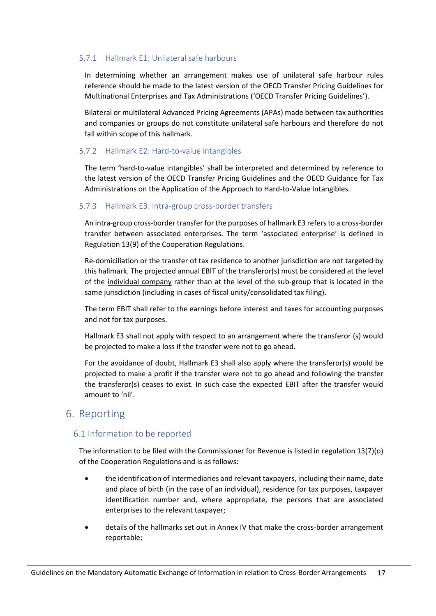### <span id="page-21-0"></span>5.7.1 Hallmark E1: Unilateral safe harbours

In determining whether an arrangement makes use of unilateral safe harbour rules reference should be made to the latest version of the OECD Transfer Pricing Guidelines for Multinational Enterprises and Tax Administrations ('OECD Transfer Pricing Guidelines').

Bilateral or multilateral Advanced Pricing Agreements (APAs) made between tax authorities and companies or groups do not constitute unilateral safe harbours and therefore do not fall within scope of this hallmark.

#### <span id="page-21-1"></span>5.7.2 Hallmark E2: Hard-to-value intangibles

The term 'hard-to-value intangibles' shall be interpreted and determined by reference to the latest version of the OECD Transfer Pricing Guidelines and the OECD Guidance for Tax Administrations on the Application of the Approach to Hard-to-Value Intangibles.

### <span id="page-21-2"></span>5.7.3 Hallmark E3: Intra-group cross-border transfers

An intra-group cross-border transfer for the purposes of hallmark E3 refers to a cross-border transfer between associated enterprises. The term 'associated enterprise' is defined in Regulation 13(9) of the Cooperation Regulations.

Re-domiciliation or the transfer of tax residence to another jurisdiction are not targeted by this hallmark. The projected annual EBIT of the transferor(s) must be considered at the level of the individual company rather than at the level of the sub-group that is located in the same jurisdiction (including in cases of fiscal unity/consolidated tax filing).

The term EBIT shall refer to the earnings before interest and taxes for accounting purposes and not for tax purposes.

Hallmark E3 shall not apply with respect to an arrangement where the transferor (s) would be projected to make a loss if the transfer were not to go ahead.

For the avoidance of doubt, Hallmark E3 shall also apply where the transferor(s) would be projected to make a profit if the transfer were not to go ahead and following the transfer the transferor(s) ceases to exist. In such case the expected EBIT after the transfer would amount to 'nil'.

## <span id="page-21-3"></span>6. Reporting

## <span id="page-21-4"></span>6.1 Information to be reported

The information to be filed with the Commissioner for Revenue is listed in regulation 13(7)(o) of the Cooperation Regulations and is as follows:

- the identification of intermediaries and relevant taxpayers, including their name, date and place of birth (in the case of an individual), residence for tax purposes, taxpayer identification number and, where appropriate, the persons that are associated enterprises to the relevant taxpayer;
- details of the hallmarks set out in Annex IV that make the cross-border arrangement reportable;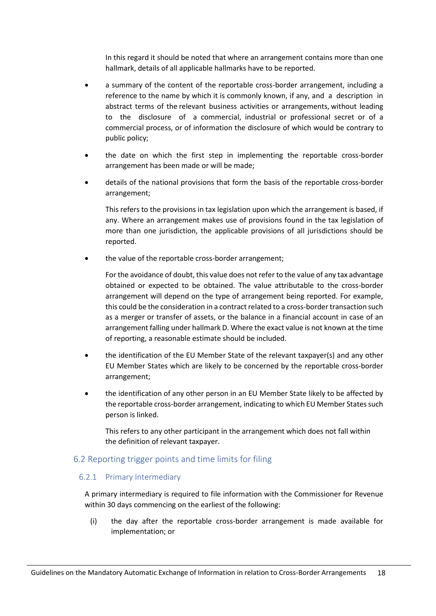In this regard it should be noted that where an arrangement contains more than one hallmark, details of all applicable hallmarks have to be reported.

- a summary of the content of the reportable cross-border arrangement, including a reference to the name by which it is commonly known, if any, and a description in abstract terms of the relevant business activities or arrangements, without leading to the disclosure of a commercial, industrial or professional secret or of a commercial process, or of information the disclosure of which would be contrary to public policy;
- the date on which the first step in implementing the reportable cross-border arrangement has been made or will be made;
- details of the national provisions that form the basis of the reportable cross-border arrangement;

This refers to the provisions in tax legislation upon which the arrangement is based, if any. Where an arrangement makes use of provisions found in the tax legislation of more than one jurisdiction, the applicable provisions of all jurisdictions should be reported.

• the value of the reportable cross-border arrangement;

For the avoidance of doubt, this value does not refer to the value of any tax advantage obtained or expected to be obtained. The value attributable to the cross-border arrangement will depend on the type of arrangement being reported. For example, this could be the consideration in a contract related to a cross-border transaction such as a merger or transfer of assets, or the balance in a financial account in case of an arrangement falling under hallmark D. Where the exact value is not known at the time of reporting, a reasonable estimate should be included.

- the identification of the EU Member State of the relevant taxpayer(s) and any other EU Member States which are likely to be concerned by the reportable cross-border arrangement;
- the identification of any other person in an EU Member State likely to be affected by the reportable cross-border arrangement, indicating to which EU Member States such person is linked.

This refers to any other participant in the arrangement which does not fall within the definition of relevant taxpayer.

## <span id="page-22-0"></span>6.2 Reporting trigger points and time limits for filing

#### <span id="page-22-1"></span>6.2.1 Primary Intermediary

A primary intermediary is required to file information with the Commissioner for Revenue within 30 days commencing on the earliest of the following:

(i) the day after the reportable cross-border arrangement is made available for implementation; or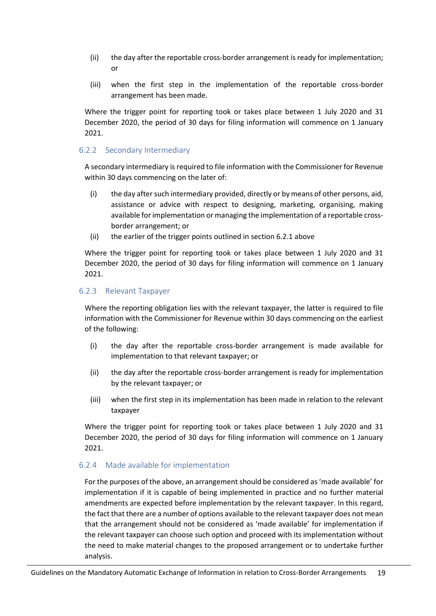- (ii) the day after the reportable cross-border arrangement is ready for implementation; or
- (iii) when the first step in the implementation of the reportable cross-border arrangement has been made.

Where the trigger point for reporting took or takes place between 1 July 2020 and 31 December 2020, the period of 30 days for filing information will commence on 1 January 2021.

#### <span id="page-23-0"></span>6.2.2 Secondary Intermediary

A secondary intermediary is required to file information with the Commissioner for Revenue within 30 days commencing on the later of:

- (i) the day after such intermediary provided, directly or by means of other persons, aid, assistance or advice with respect to designing, marketing, organising, making available for implementation or managing the implementation of a reportable crossborder arrangement; or
- (ii) the earlier of the trigger points outlined in section 6.2.1 above

Where the trigger point for reporting took or takes place between 1 July 2020 and 31 December 2020, the period of 30 days for filing information will commence on 1 January 2021.

#### <span id="page-23-1"></span>6.2.3 Relevant Taxpayer

Where the reporting obligation lies with the relevant taxpayer, the latter is required to file information with the Commissioner for Revenue within 30 days commencing on the earliest of the following:

- (i) the day after the reportable cross-border arrangement is made available for implementation to that relevant taxpayer; or
- (ii) the day after the reportable cross-border arrangement is ready for implementation by the relevant taxpayer; or
- (iii) when the first step in its implementation has been made in relation to the relevant taxpayer

Where the trigger point for reporting took or takes place between 1 July 2020 and 31 December 2020, the period of 30 days for filing information will commence on 1 January 2021.

#### <span id="page-23-2"></span>6.2.4 Made available for implementation

For the purposes of the above, an arrangement should be considered as 'made available' for implementation if it is capable of being implemented in practice and no further material amendments are expected before implementation by the relevant taxpayer. In this regard, the fact that there are a number of options available to the relevant taxpayer does not mean that the arrangement should not be considered as 'made available' for implementation if the relevant taxpayer can choose such option and proceed with its implementation without the need to make material changes to the proposed arrangement or to undertake further analysis.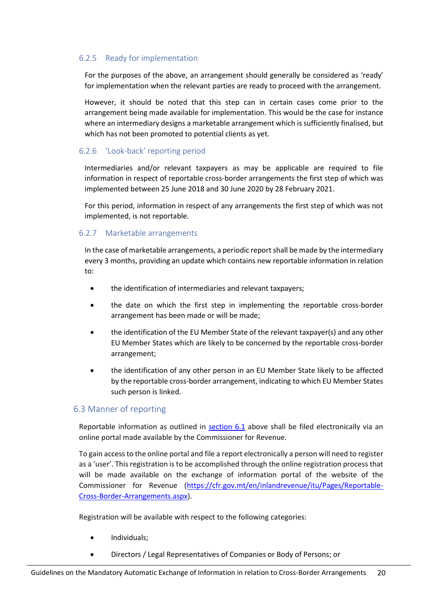#### <span id="page-24-0"></span>6.2.5 Ready for implementation

For the purposes of the above, an arrangement should generally be considered as 'ready' for implementation when the relevant parties are ready to proceed with the arrangement.

However, it should be noted that this step can in certain cases come prior to the arrangement being made available for implementation. This would be the case for instance where an intermediary designs a marketable arrangement which is sufficiently finalised, but which has not been promoted to potential clients as yet.

### <span id="page-24-1"></span>6.2.6 'Look-back' reporting period

Intermediaries and/or relevant taxpayers as may be applicable are required to file information in respect of reportable cross-border arrangements the first step of which was implemented between 25 June 2018 and 30 June 2020 by 28 February 2021.

For this period, information in respect of any arrangements the first step of which was not implemented, is not reportable.

### <span id="page-24-2"></span>6.2.7 Marketable arrangements

In the case of marketable arrangements, a periodic report shall be made by the intermediary every 3 months, providing an update which contains new reportable information in relation to:

- the identification of intermediaries and relevant taxpayers;
- the date on which the first step in implementing the reportable cross-border arrangement has been made or will be made;
- the identification of the EU Member State of the relevant taxpayer(s) and any other EU Member States which are likely to be concerned by the reportable cross-border arrangement;
- the identification of any other person in an EU Member State likely to be affected by the reportable cross-border arrangement, indicating to which EU Member States such person is linked.

## <span id="page-24-3"></span>6.3 Manner of reporting

Reportable information as outlined in  $section 6.1$  above shall be filed electronically via an online portal made available by the Commissioner for Revenue.

To gain access to the online portal and file a report electronically a person will need to register as a 'user'. This registration is to be accomplished through the online registration process that will be made available on the exchange of information portal of the website of the Commissioner for Revenue [\(https://cfr.gov.mt/en/inlandrevenue/itu/Pages/Reportable-](https://cfr.gov.mt/en/inlandrevenue/itu/Pages/Reportable-Cross-Border-Arrangements.aspx)[Cross-Border-Arrangements.aspx\)](https://cfr.gov.mt/en/inlandrevenue/itu/Pages/Reportable-Cross-Border-Arrangements.aspx).

Registration will be available with respect to the following categories:

- Individuals;
- Directors / Legal Representatives of Companies or Body of Persons; or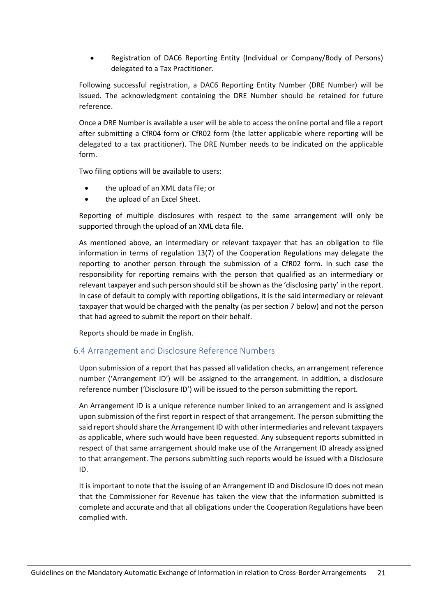• Registration of DAC6 Reporting Entity (Individual or Company/Body of Persons) delegated to a Tax Practitioner.

Following successful registration, a DAC6 Reporting Entity Number (DRE Number) will be issued. The acknowledgment containing the DRE Number should be retained for future reference.

Once a DRE Number is available a user will be able to access the online portal and file a report after submitting a CfR04 form or CfR02 form (the latter applicable where reporting will be delegated to a tax practitioner). The DRE Number needs to be indicated on the applicable form.

Two filing options will be available to users:

- the upload of an XML data file; or
- the upload of an Excel Sheet.

Reporting of multiple disclosures with respect to the same arrangement will only be supported through the upload of an XML data file.

As mentioned above, an intermediary or relevant taxpayer that has an obligation to file information in terms of regulation 13(7) of the Cooperation Regulations may delegate the reporting to another person through the submission of a CfR02 form. In such case the responsibility for reporting remains with the person that qualified as an intermediary or relevant taxpayer and such person should still be shown as the 'disclosing party' in the report. In case of default to comply with reporting obligations, it is the said intermediary or relevant taxpayer that would be charged with the penalty (as per section 7 below) and not the person that had agreed to submit the report on their behalf.

Reports should be made in English.

#### <span id="page-25-0"></span>6.4 Arrangement and Disclosure Reference Numbers

Upon submission of a report that has passed all validation checks, an arrangement reference number ('Arrangement ID') will be assigned to the arrangement. In addition, a disclosure reference number ('Disclosure ID') will be issued to the person submitting the report.

An Arrangement ID is a unique reference number linked to an arrangement and is assigned upon submission of the first report in respect of that arrangement. The person submitting the said report should share the Arrangement ID with other intermediaries and relevant taxpayers as applicable, where such would have been requested. Any subsequent reports submitted in respect of that same arrangement should make use of the Arrangement ID already assigned to that arrangement. The persons submitting such reports would be issued with a Disclosure ID.

It is important to note that the issuing of an Arrangement ID and Disclosure ID does not mean that the Commissioner for Revenue has taken the view that the information submitted is complete and accurate and that all obligations under the Cooperation Regulations have been complied with.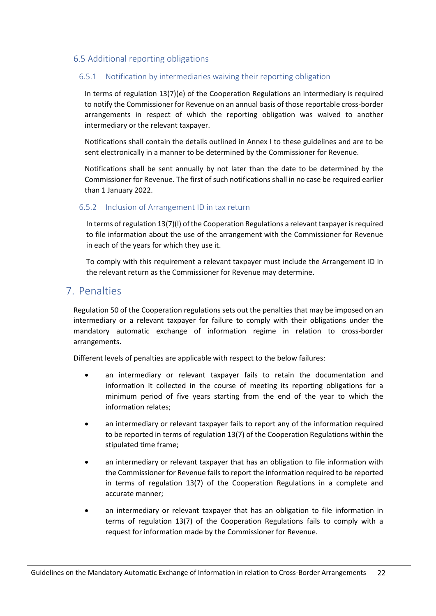#### <span id="page-26-0"></span>6.5 Additional reporting obligations

#### <span id="page-26-1"></span>6.5.1 Notification by intermediaries waiving their reporting obligation

In terms of regulation 13(7)(e) of the Cooperation Regulations an intermediary is required to notify the Commissioner for Revenue on an annual basis of those reportable cross-border arrangements in respect of which the reporting obligation was waived to another intermediary or the relevant taxpayer.

Notifications shall contain the details outlined in Annex I to these guidelines and are to be sent electronically in a manner to be determined by the Commissioner for Revenue.

Notifications shall be sent annually by not later than the date to be determined by the Commissioner for Revenue. The first of such notifications shall in no case be required earlier than 1 January 2022.

#### <span id="page-26-2"></span>6.5.2 Inclusion of Arrangement ID in tax return

In terms of regulation 13(7)(l) of the Cooperation Regulations a relevant taxpayer is required to file information about the use of the arrangement with the Commissioner for Revenue in each of the years for which they use it.

To comply with this requirement a relevant taxpayer must include the Arrangement ID in the relevant return as the Commissioner for Revenue may determine.

## <span id="page-26-3"></span>7. Penalties

Regulation 50 of the Cooperation regulations sets out the penalties that may be imposed on an intermediary or a relevant taxpayer for failure to comply with their obligations under the mandatory automatic exchange of information regime in relation to cross-border arrangements.

Different levels of penalties are applicable with respect to the below failures:

- an intermediary or relevant taxpayer fails to retain the documentation and information it collected in the course of meeting its reporting obligations for a minimum period of five years starting from the end of the year to which the information relates;
- an intermediary or relevant taxpayer fails to report any of the information required to be reported in terms of regulation 13(7) of the Cooperation Regulations within the stipulated time frame;
- an intermediary or relevant taxpayer that has an obligation to file information with the Commissioner for Revenue fails to report the information required to be reported in terms of regulation 13(7) of the Cooperation Regulations in a complete and accurate manner;
- an intermediary or relevant taxpayer that has an obligation to file information in terms of regulation 13(7) of the Cooperation Regulations fails to comply with a request for information made by the Commissioner for Revenue.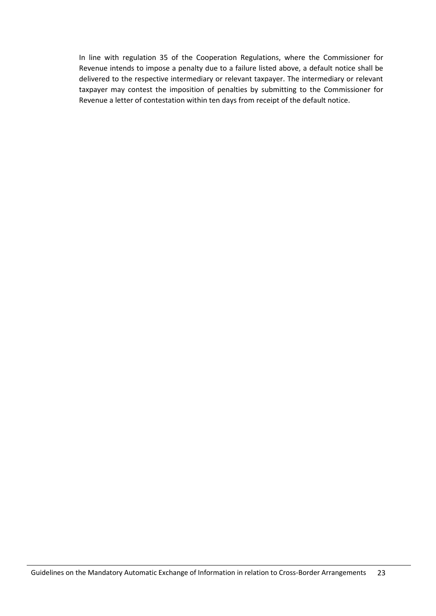In line with regulation 35 of the Cooperation Regulations, where the Commissioner for Revenue intends to impose a penalty due to a failure listed above, a default notice shall be delivered to the respective intermediary or relevant taxpayer. The intermediary or relevant taxpayer may contest the imposition of penalties by submitting to the Commissioner for Revenue a letter of contestation within ten days from receipt of the default notice.